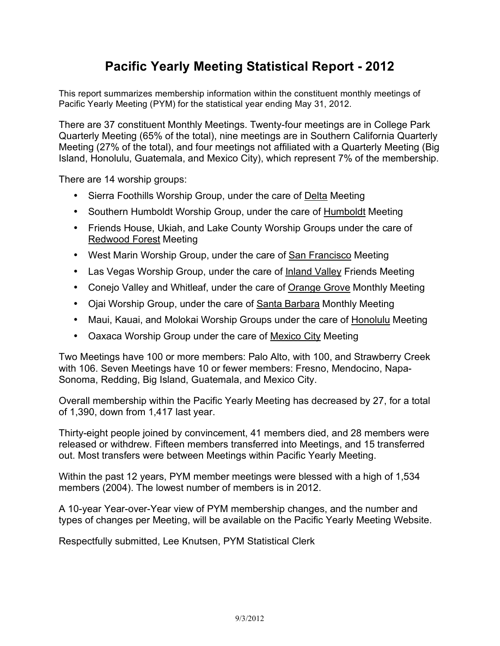## **Pacific Yearly Meeting Statistical Report - 2012**

This report summarizes membership information within the constituent monthly meetings of Pacific Yearly Meeting (PYM) for the statistical year ending May 31, 2012.

There are 37 constituent Monthly Meetings. Twenty-four meetings are in College Park Quarterly Meeting (65% of the total), nine meetings are in Southern California Quarterly Meeting (27% of the total), and four meetings not affiliated with a Quarterly Meeting (Big Island, Honolulu, Guatemala, and Mexico City), which represent 7% of the membership.

There are 14 worship groups:

- Sierra Foothills Worship Group, under the care of Delta Meeting
- Southern Humboldt Worship Group, under the care of Humboldt Meeting
- Friends House, Ukiah, and Lake County Worship Groups under the care of Redwood Forest Meeting
- West Marin Worship Group, under the care of San Francisco Meeting
- Las Vegas Worship Group, under the care of Inland Valley Friends Meeting
- Conejo Valley and Whitleaf, under the care of Orange Grove Monthly Meeting
- Ojai Worship Group, under the care of Santa Barbara Monthly Meeting
- Maui, Kauai, and Molokai Worship Groups under the care of Honolulu Meeting
- Oaxaca Worship Group under the care of Mexico City Meeting

Two Meetings have 100 or more members: Palo Alto, with 100, and Strawberry Creek with 106. Seven Meetings have 10 or fewer members: Fresno, Mendocino, Napa-Sonoma, Redding, Big Island, Guatemala, and Mexico City.

Overall membership within the Pacific Yearly Meeting has decreased by 27, for a total of 1,390, down from 1,417 last year.

Thirty-eight people joined by convincement, 41 members died, and 28 members were released or withdrew. Fifteen members transferred into Meetings, and 15 transferred out. Most transfers were between Meetings within Pacific Yearly Meeting.

Within the past 12 years, PYM member meetings were blessed with a high of 1,534 members (2004). The lowest number of members is in 2012.

A 10-year Year-over-Year view of PYM membership changes, and the number and types of changes per Meeting, will be available on the Pacific Yearly Meeting Website.

Respectfully submitted, Lee Knutsen, PYM Statistical Clerk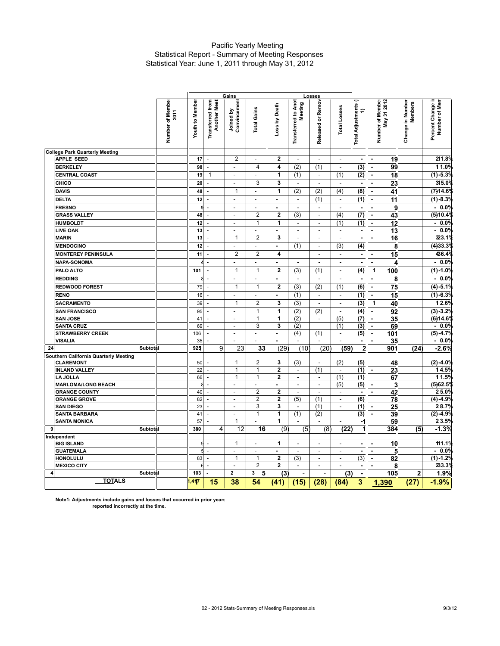## Pacific Yearly Meeting Statistical Report - Summary of Meeting Responses Statistical Year: June 1, 2011 through May 31, 2012

|                                         |                                                    | Gains<br>Losses                                |                                            |                                |                          |                                       |                                 |                          |                                       |                                    |                                    |                                       |
|-----------------------------------------|----------------------------------------------------|------------------------------------------------|--------------------------------------------|--------------------------------|--------------------------|---------------------------------------|---------------------------------|--------------------------|---------------------------------------|------------------------------------|------------------------------------|---------------------------------------|
|                                         | Number of Member<br><b>Youth to Member</b><br>2011 | <b>Transferred</b> from<br><b>Another Meet</b> | Joined by<br>Convincement                  | <b>Total Gains</b>             | Loss by Death            | <b>Transferred to Anot</b><br>Meeting | Released or Remov               | <b>Total Losses</b>      | <b>Total Adjustments</b><br>$\hat{=}$ | 31 2012<br>Number of Member<br>Мay | Change in Number<br><b>Members</b> | H<br>Number of Merr<br>Percent Change |
| <b>College Park Quarterly Meeting</b>   |                                                    |                                                |                                            |                                |                          |                                       |                                 |                          |                                       |                                    |                                    |                                       |
| <b>APPLE SEED</b>                       | 17                                                 | $\overline{\phantom{a}}$                       | $\overline{2}$                             | ٠                              | $\mathbf{2}$             | $\overline{\phantom{a}}$              | L.                              | $\blacksquare$           | $\blacksquare$                        | 19<br>$\blacksquare$               |                                    | 211.8%                                |
| <b>BERKELEY</b>                         | 98                                                 | ÷,                                             | $\overline{\phantom{a}}$                   | $\overline{4}$                 | 4                        | (2)                                   | (1)                             | $\Box$                   | (3)                                   | $\blacksquare$<br>99               |                                    | 11.0%                                 |
| <b>CENTRAL COAST</b>                    | 19                                                 | $\mathbf{1}$                                   | $\overline{\phantom{a}}$                   | $\overline{\phantom{a}}$       | 1                        | (1)                                   | $\blacksquare$                  | (1)                      | (2)                                   | 18<br>$\blacksquare$               |                                    | $(1) -5.3%$                           |
| CHICO                                   | 20                                                 | $\blacksquare$                                 | L,                                         | 3                              | 3                        |                                       | ÷,                              | L,                       |                                       | 23<br>÷,                           |                                    | 315.0%                                |
| <b>DAVIS</b>                            | 48                                                 | $\frac{1}{2}$                                  | $\mathbf{1}$                               | $\overline{\phantom{a}}$       | 1                        | (2)                                   | (2)                             | (4)                      | (8)                                   | 41<br>$\blacksquare$               |                                    | (7)14.6%                              |
| <b>DELTA</b>                            | 12                                                 | $\frac{1}{2}$                                  | $\overline{a}$                             | $\overline{\phantom{a}}$       | $\overline{\phantom{a}}$ | $\overline{\phantom{a}}$              | (1)                             | $\overline{\phantom{a}}$ | (1)                                   | 11<br>$\blacksquare$               |                                    | $(1) -8.3%$                           |
| <b>FRESNO</b>                           |                                                    | g<br>$\frac{1}{2}$                             | $\overline{a}$                             | ÷,                             | ÷,                       | ÷,                                    | $\blacksquare$                  | $\overline{\phantom{a}}$ | $\blacksquare$                        | 9<br>$\blacksquare$                |                                    | 0.0%<br>$\blacksquare$                |
| <b>GRASS VALLEY</b>                     | 48                                                 | L,                                             | $\overline{\phantom{a}}$                   | $\overline{2}$                 | $\mathbf{2}$             | (3)                                   | $\overline{a}$                  | (4)                      | (7)                                   | 43<br>$\blacksquare$               |                                    | (5)10.4%                              |
| <b>HUMBOLDT</b>                         | 12                                                 | ÷,                                             | ÷.                                         | $\mathbf{1}$                   | 1                        | $\overline{\phantom{a}}$              | $\overline{\phantom{a}}$        | (1)                      | (1)                                   | 12<br>ä,                           |                                    | $-0.0%$                               |
| <b>LIVE OAK</b>                         | 13                                                 | L.                                             | L.                                         | L.                             | $\overline{a}$           | L.                                    | L.                              | $\overline{\phantom{a}}$ | $\blacksquare$                        | ä,<br>13                           |                                    | 0.0%<br>$\mathbf{r}$                  |
| <b>MARIN</b>                            | 13                                                 | $\overline{\phantom{a}}$                       | $\mathbf{1}$                               | $\overline{2}$                 | 3                        | $\overline{\phantom{a}}$              | $\overline{\phantom{a}}$        | $\overline{\phantom{a}}$ | $\blacksquare$                        | 16<br>$\blacksquare$               |                                    | 323.1%                                |
| <b>MENDOCINO</b>                        | 12                                                 | L.                                             | $\overline{\phantom{a}}$                   | $\overline{\phantom{a}}$       | $\blacksquare$           | (1)                                   | $\overline{\phantom{a}}$        | (3)                      | (4)                                   | 8                                  |                                    | (4)33.3%                              |
| <b>MONTEREY PENINSULA</b>               | 11                                                 | $\frac{1}{2}$                                  | $\overline{2}$                             | $\overline{2}$                 | 4                        |                                       | $\overline{a}$                  | $\blacksquare$           | $\blacksquare$                        | 15<br>$\blacksquare$               |                                    | 436.4%                                |
| <b>NAPA-SONOMA</b>                      |                                                    | $\overline{\phantom{a}}$                       | $\overline{\phantom{a}}$                   | $\overline{\phantom{a}}$       | $\blacksquare$           | $\overline{\phantom{a}}$              | $\overline{\phantom{a}}$        | $\blacksquare$           | $\blacksquare$                        | $\blacksquare$<br>4                |                                    | 0.0%<br>$\blacksquare$                |
| PALO ALTO                               | 101                                                | ÷,                                             | $\mathbf{1}$                               | $\mathbf{1}$                   | $\overline{2}$           | (3)                                   | (1)                             | $\overline{\phantom{a}}$ | (4)                                   | 1<br>100                           |                                    | $(1) - 1.0%$                          |
| <b>REDDING</b>                          |                                                    | 8<br>$\blacksquare$                            | $\overline{\phantom{a}}$                   | $\overline{\phantom{a}}$       | $\blacksquare$           | $\overline{\phantom{a}}$              | $\overline{\phantom{a}}$        | $\overline{\phantom{a}}$ | ٠                                     | 8<br>$\overline{\phantom{a}}$      |                                    | 0.0%<br>$\blacksquare$                |
| <b>REDWOOD FOREST</b>                   | 79                                                 | $\overline{a}$                                 | $\mathbf{1}$                               | $\mathbf{1}$                   | $\overline{2}$           | (3)                                   | (2)                             | (1)                      | (6)                                   | 75<br>$\blacksquare$               |                                    | $(4) -5.1%$                           |
| <b>RENO</b>                             | 16                                                 | L,                                             | $\overline{a}$                             | $\overline{a}$                 | $\overline{a}$           | (1)                                   | $\Box$                          | $\overline{\phantom{a}}$ | (1)                                   | 15<br>$\blacksquare$               |                                    | $(1) - 6.3%$                          |
| <b>SACRAMENTO</b>                       | 39                                                 | ÷,                                             | $\mathbf{1}$                               | $\overline{2}$                 | $\overline{\mathbf{3}}$  | (3)                                   | $\frac{1}{2}$                   | $\overline{\phantom{a}}$ | (3)                                   | 1<br>40                            |                                    | 12.6%                                 |
|                                         |                                                    | L.                                             | $\overline{a}$                             | $\mathbf{1}$                   | 1                        | (2)                                   |                                 | $\blacksquare$           |                                       | $\blacksquare$                     |                                    |                                       |
| <b>SAN FRANCISCO</b><br><b>SAN JOSE</b> | 95<br>41                                           | $\blacksquare$                                 | $\blacksquare$                             | $\mathbf{1}$                   | 1                        | (2)                                   | (2)<br>$\overline{\phantom{a}}$ | (5)                      | (4)<br>(7)                            | 92<br>$\blacksquare$               |                                    | $(3) - 3.2%$<br>(6)14.6%              |
| <b>SANTA CRUZ</b>                       | 69                                                 | $\overline{\phantom{a}}$                       | $\overline{a}$                             | 3                              | 3                        | (2)                                   |                                 | (1)                      | (3)                                   | 35<br>$\blacksquare$               |                                    | 0.0%<br>$\blacksquare$                |
| <b>STRAWBERRY CREEK</b>                 | 106                                                | ÷,                                             | $\mathcal{L}$                              | $\overline{\phantom{a}}$       | $\blacksquare$           | (4)                                   | (1)                             | $\blacksquare$           | (5)                                   | 69<br>$\blacksquare$<br>101        |                                    | $(5) -4.7%$                           |
| <b>VISALIA</b>                          | 35                                                 | ÷,                                             |                                            | ÷,                             | ÷,                       | $\overline{a}$                        |                                 | $\overline{\phantom{a}}$ | $\blacksquare$                        | 35                                 |                                    | $-0.0%$                               |
| 24<br>Subtotal                          | 925                                                |                                                | 9<br>23                                    | 33                             | (29)                     | (10)                                  | (20)                            | (59)                     | $\overline{\mathbf{2}}$               | 901                                | (24)                               | $-2.6%$                               |
| Southern California Quarterly Meeting   |                                                    |                                                |                                            |                                |                          |                                       |                                 |                          |                                       |                                    |                                    |                                       |
| <b>CLAREMONT</b>                        | 50                                                 | L,                                             | $\mathbf{1}$                               | $\overline{2}$                 | 3                        | (3)                                   | $\sim$                          | (2)                      | (5)                                   | 48                                 |                                    | $(2) -4.0%$                           |
| <b>INLAND VALLEY</b>                    | 22                                                 | $\overline{\phantom{a}}$                       | $\mathbf{1}$                               | $\mathbf{1}$                   | $\mathbf 2$              | $\overline{\phantom{a}}$              | (1)                             | $\overline{\phantom{a}}$ | (1)                                   | 23<br>$\overline{\phantom{a}}$     |                                    | 14.5%                                 |
| <b>LAJOLLA</b>                          | 66                                                 | $\Box$                                         | 1                                          | $\mathbf{1}$                   | $\overline{\mathbf{2}}$  | $\overline{\phantom{a}}$              | $\overline{\phantom{a}}$        | (1)                      | (1)                                   | 67                                 |                                    | 11.5%                                 |
| <b>MARLOMA/LONG BEACH</b>               |                                                    | 8<br>$\overline{\phantom{a}}$                  | L.                                         | L.                             | $\overline{\phantom{0}}$ | $\frac{1}{2}$                         | ÷,                              | (5)                      | (5)                                   | 3<br>$\overline{\phantom{a}}$      |                                    | (5)62.5%                              |
| <b>ORANGE COUNTY</b>                    | 40                                                 | L.                                             | $\overline{a}$                             | $\overline{2}$                 | $\overline{2}$           | $\overline{a}$                        | $\overline{a}$                  | $\blacksquare$           | $\blacksquare$                        | $\blacksquare$<br>42               |                                    | 25.0%                                 |
| <b>ORANGE GROVE</b>                     | 82                                                 | $\overline{\phantom{a}}$                       | $\sim$                                     | $\overline{2}$                 | $\mathbf{2}$             | (5)                                   | (1)                             | $\overline{\phantom{a}}$ | (6)                                   | 78                                 |                                    | $(4) -4.9%$                           |
| <b>SAN DIEGO</b>                        | 23                                                 | $\overline{a}$                                 | ÷,                                         | 3                              | 3                        | ÷,                                    | (1)                             | $\overline{\phantom{a}}$ | (1)                                   | 25<br>$\overline{\phantom{a}}$     |                                    | 28.7%                                 |
| <b>SANTA BARBARA</b>                    | 41                                                 | $\overline{a}$                                 | $\sim$                                     | $\mathbf{1}$                   | 1                        | (1)                                   | (2)                             |                          | (3)                                   | $\tilde{\phantom{a}}$<br>39        |                                    | $(2) -4.9%$                           |
| <b>SANTA MONICA</b>                     | 57                                                 | $\overline{a}$                                 | 1                                          |                                | 1                        | $\overline{a}$                        | $\overline{a}$                  | $\overline{a}$           | -1                                    | 59                                 |                                    | 23.5%                                 |
| 9 <sup>1</sup><br>Subtotal              | 389                                                |                                                | 12<br>4                                    | 16                             | (9)                      | (5)                                   | (8)                             | (22)                     | 1                                     | 384                                | (5)                                | $-1.3%$                               |
| Independent                             |                                                    |                                                |                                            |                                |                          |                                       |                                 |                          |                                       |                                    |                                    |                                       |
| <b>BIG ISLAND</b>                       |                                                    | g<br>$\sim$                                    | $\mathbf{1}$                               | L.                             | 1                        | L.                                    | L.                              | L.                       | $\blacksquare$                        | 10<br>$\blacksquare$               |                                    | 111.1%                                |
| <b>GUATEMALA</b>                        |                                                    | 5<br>$\overline{\phantom{a}}$                  | $\overline{\phantom{a}}$                   | $\overline{\phantom{a}}$       | $\blacksquare$           | $\overline{\phantom{a}}$              | $\frac{1}{2}$                   | $\blacksquare$           | $\blacksquare$                        | 5<br>$\blacksquare$                |                                    | 0.0%<br>$\blacksquare$                |
| <b>HONOLULU</b>                         | 83                                                 | $\Box$                                         | $\mathbf{1}$                               | $\mathbf{1}$<br>$\overline{2}$ | $\overline{\mathbf{2}}$  | (3)                                   | $\overline{\phantom{a}}$        | $\mathbf{L}$             | (3)                                   | $\blacksquare$<br>82               |                                    | $(1) - 1.2%$                          |
| <b>MEXICO CITY</b>                      | 103                                                | 6<br>$\Box$                                    | $\overline{\phantom{a}}$<br>$\overline{2}$ |                                | $\overline{2}$           | $\overline{a}$                        | $\overline{a}$                  | $\overline{a}$           |                                       | 8                                  |                                    | 233.3%                                |
| Subtotal<br>$\vert$                     |                                                    |                                                |                                            | 5<br>3                         | (3)                      | $\overline{a}$                        |                                 | (3)                      |                                       | 105                                | $\overline{2}$                     | 1.9%                                  |
| <b>TOTALS</b>                           | 1,417                                              | 15                                             | 38                                         | 54                             | (41)                     | (15)                                  | (28)                            | (84)                     | 3                                     | 1,390                              | (27)                               | $-1.9%$                               |

**Note1: Adjustments include gains and losses that occurred in prior years reported incorrectly at the time.**